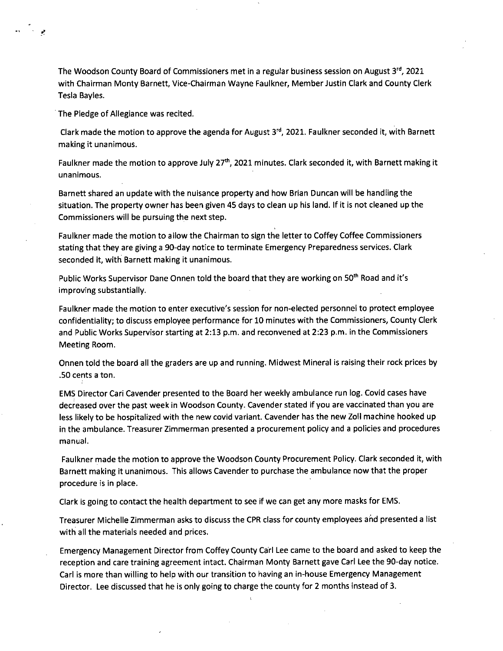The Woodson County Board of Commissioners met in a regular business session on August 3<sup>rd</sup>, 2021 with Chairman Monty Barnett, Vice-Chairman Wayne Faulkner, Member Justin Clark and County Clerk Tesla Bayles.

The Pledge of Allegiance was recited.

Clark made the motion to approve the agenda for August  $3<sup>rd</sup>$ , 2021. Faulkner seconded it, with Barnett making it unanimous.

Faulkner made the motion to approve July 27<sup>th</sup>, 2021 minutes. Clark seconded it, with Barnett making it unanimous.

Barnett shared an update with the nuisance property and how Brian Duncan will be handling the situation. The property owner has been given 45 days to clean up his land. If it is not cleaned up the Commissioners will be pursuing the next step.

Faulkner made the motion to allow the Chairman to sign the letter to Coffey Coffee Commissioners stating that they are giving a 90-day notice to terminate Emergency Preparedness services. Clark seconded it, with Barnett making it unanimous.

Public Works Supervisor Dane Onnen told the board that they are working on 50<sup>th</sup> Road and it's improving substantially.

Faulkner made the motion to enter executive's session for non-elected personnel to protect employee confidentiality; to discuss employee performance for 10 minutes with the Commissioners, County Clerk and Public Works Supervisor starting at 2:13 p.m. and reconvened at 2:23 p.m. in the Commissioners Meeting Room.

Onnen told the board all the graders are up and running. Midwest Mineral is raising their rock prices by .50 cents a ton.

EMS Director Cari Cavender presented to the Board her weekly ambulance run log. Covid cases have decreased over the past week in Woodson County. Cavender stated if you are vaccinated than you are less likely to be hospitalized with the new covid variant. Cavender has the new Zoll machine hooked up in the ambulance. Treasurer Zimmerman presented a procurement policy and a policies and procedures manual.

Faulkner made the motion to approve the Woodson County Procurement Policy. Clark seconded it, with Barnett making it unanimous. This allows Cavender to purchase the ambulance now that the proper procedure is in place.

Clark is going to contact the health department to see if we can get any more masks for EMS.

Treasurer Michelle Zimmerman asks to discuss the CPR class for county employees and presented a list with all the materials needed and prices.

Emergency Management Director from Coffey County Carl Lee came to the board and asked to keep the reception and care training agreement intact. Chairman Monty Barnett gave Carl Lee the 90-day notice. Carl is more than willing to help with our transition to having an in-house Emergency Management Director. Lee discussed that he is only going to charge the county for 2 months instead of 3.